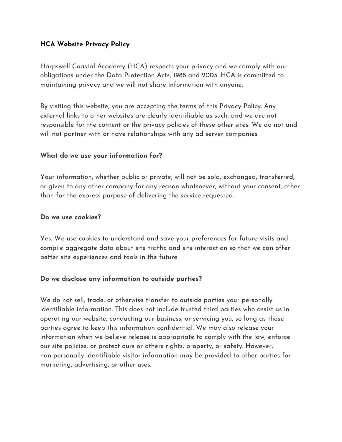# **HCA Website Privacy Policy**

Harpswell Coastal Academy (HCA) respects your privacy and we comply with our obligations under the Data Protection Acts, 1988 and 2003. HCA is committed to maintaining privacy and we will not share information with anyone.

By visiting this website, you are accepting the terms of this Privacy Policy. Any external links to other websites are clearly identifiable as such, and we are not responsible for the content or the privacy policies of these other sites. We do not and will not partner with or have relationships with any ad server companies.

## **What do we use your information for?**

Your information, whether public or private, will not be sold, exchanged, transferred, or given to any other company for any reason whatsoever, without your consent, other than for the express purpose of delivering the service requested.

## **Do we use cookies?**

Yes. We use cookies to understand and save your preferences for future visits and compile aggregate data about site traffic and site interaction so that we can offer better site experiences and tools in the future.

## **Do we disclose any information to outside parties?**

We do not sell, trade, or otherwise transfer to outside parties your personally identifiable information. This does not include trusted third parties who assist us in operating our website, conducting our business, or servicing you, so long as those parties agree to keep this information confidential. We may also release your information when we believe release is appropriate to comply with the law, enforce our site policies, or protect ours or others rights, property, or safety. However, non-personally identifiable visitor information may be provided to other parties for marketing, advertising, or other uses.